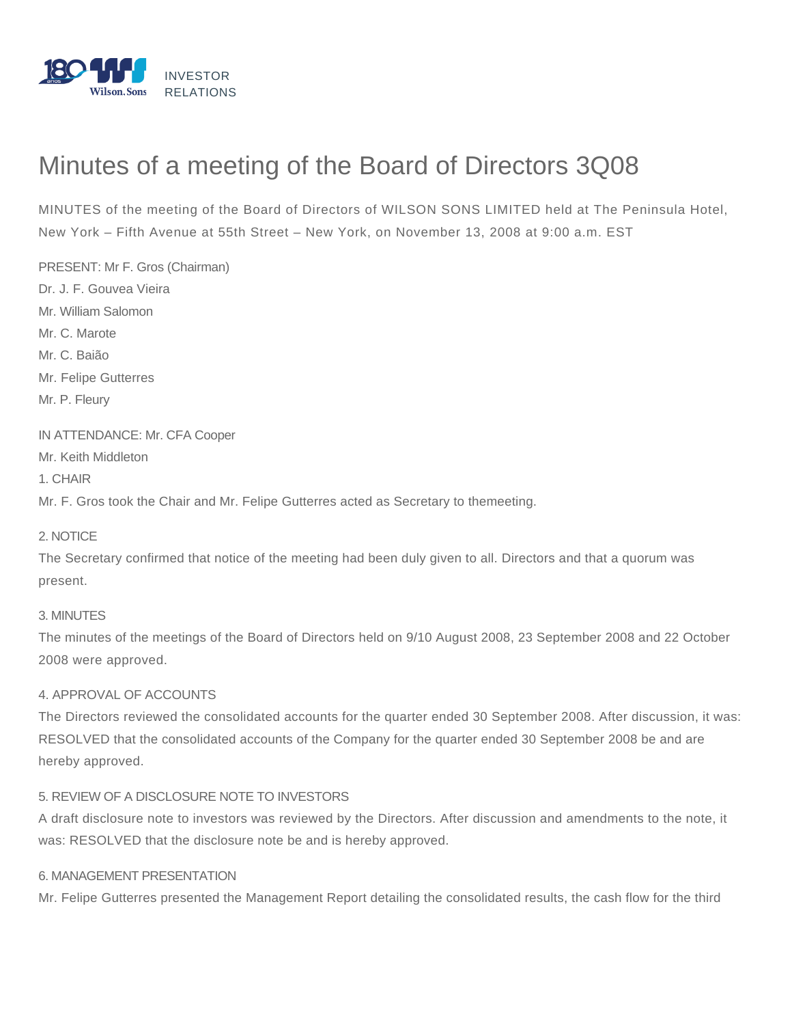

# Minutes of a meeting of the Board of Directors 3Q08

MINUTES of the meeting of the Board of Directors of WILSON SONS LIMITED held at The Peninsula Hotel, New York – Fifth Avenue at 55th Street – New York, on November 13, 2008 at 9:00 a.m. EST

PRESENT: Mr F. Gros (Chairman) Dr. J. F. Gouvea Vieira Mr. William Salomon Mr. C. Marote Mr. C. Baião Mr. Felipe Gutterres Mr. P. Fleury IN ATTENDANCE: Mr. CFA Cooper Mr. Keith Middleton

1. CHAIR

Mr. F. Gros took the Chair and Mr. Felipe Gutterres acted as Secretary to themeeting.

## 2. NOTICE

The Secretary confirmed that notice of the meeting had been duly given to all. Directors and that a quorum was present.

#### 3. MINUTES

The minutes of the meetings of the Board of Directors held on 9/10 August 2008, 23 September 2008 and 22 October 2008 were approved.

## 4. APPROVAL OF ACCOUNTS

The Directors reviewed the consolidated accounts for the quarter ended 30 September 2008. After discussion, it was: RESOLVED that the consolidated accounts of the Company for the quarter ended 30 September 2008 be and are hereby approved.

## 5. REVIEW OF A DISCLOSURE NOTE TO INVESTORS

A draft disclosure note to investors was reviewed by the Directors. After discussion and amendments to the note, it was: RESOLVED that the disclosure note be and is hereby approved.

#### 6. MANAGEMENT PRESENTATION

Mr. Felipe Gutterres presented the Management Report detailing the consolidated results, the cash flow for the third